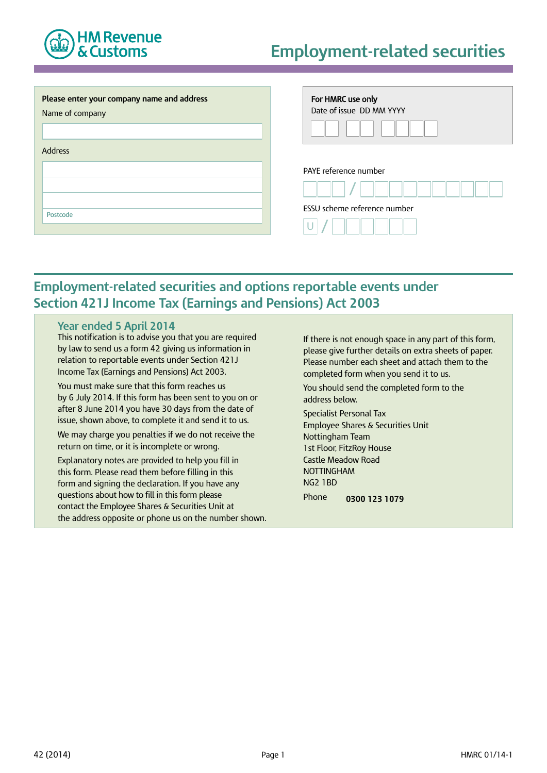

# **Employment-related securities**

| Please enter your company name and address<br>Name of company<br><b>Address</b> | For HMRC use only<br>Date of issue DD MM YYYY |
|---------------------------------------------------------------------------------|-----------------------------------------------|
|                                                                                 | PAYE reference number                         |
|                                                                                 |                                               |
| Postcode                                                                        | ESSU scheme reference number                  |
|                                                                                 |                                               |

# **Employment-related securities and options reportable events under Section 421J Income Tax (Earnings and Pensions) Act 2003**

#### **Year ended 5 April 2014**

This notification is to advise you that you are required by law to send us a form 42 giving us information in relation to reportable events under Section 421J Income Tax (Earnings and Pensions) Act 2003.

You must make sure that this form reaches us by 6 July 2014. If this form has been sent to you on or after 8 June 2014 you have 30 days from the date of issue, shown above, to complete it and send it to us.

We may charge you penalties if we do not receive the return on time, or it is incomplete or wrong.

Explanatory notes are provided to help you fill in this form. Please read them before filling in this form and signing the declaration. If you have any questions about how to fill in this form please contact the Employee Shares & Securities Unit at the address opposite or phone us on the number shown. If there is not enough space in any part of this form, please give further details on extra sheets of paper. Please number each sheet and attach them to the completed form when you send it to us.

You should send the completed form to the address below.

Specialist Personal Tax Employee Shares & Securities Unit Nottingham Team 1st Floor, FitzRoy House Castle Meadow Road NOTTINGHAM NG2 1BD Phone **0300 123 1079**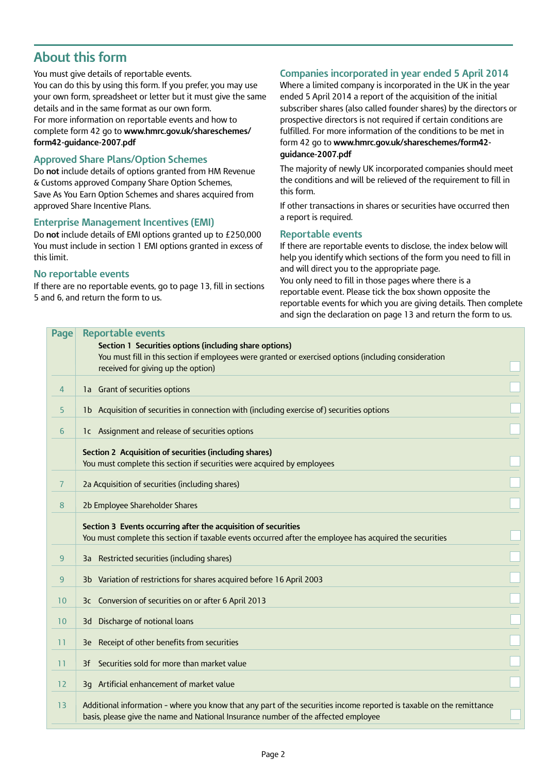# **About this form**

You must give details of reportable events. You can do this by using this form. If you prefer, you may use your own form, spreadsheet or letter but it must give the same details and in the same format as our own form. For more information on reportable events and how to complete form 42 go to **[www.hmrc.gov.uk/shareschemes/](www.hmrc.gov.uk/shareschemes/form42-guidance-2007.pdf) [form42-guidance-2007.pdf](www.hmrc.gov.uk/shareschemes/form42-guidance-2007.pdf)**

# **Approved Share Plans/Option Schemes**

Do **not** include details of options granted from HM Revenue & Customs approved Company Share Option Schemes, Save As You Earn Option Schemes and shares acquired from approved Share Incentive Plans.

#### **Enterprise Management Incentives (EMI)**

Do **not** include details of EMI options granted up to £250,000 You must include in section 1 EMI options granted in excess of this limit.

#### **No reportable events**

If there are no reportable events, go to page 13, fill in sections 5 and 6, and return the form to us.

# **Companies incorporated in year ended 5 April 2014**

Where a limited company is incorporated in the UK in the year ended 5 April 2014 a report of the acquisition of the initial subscriber shares (also called founder shares) by the directors or prospective directors is not required if certain conditions are fulfilled. For more information of the conditions to be met in form 42 go to **[www.hmrc.gov.uk/shareschemes/form42](www.hmrc.gov.uk/shareschemes/form42-guidance-2007.pdf) [guidance-2007.pdf](www.hmrc.gov.uk/shareschemes/form42-guidance-2007.pdf)**

The majority of newly UK incorporated companies should meet the conditions and will be relieved of the requirement to fill in this form.

If other transactions in shares or securities have occurred then a report is required.

### **Reportable events**

If there are reportable events to disclose, the index below will help you identify which sections of the form you need to fill in and will direct you to the appropriate page.

You only need to fill in those pages where there is a reportable event. Please tick the box shown opposite the reportable events for which you are giving details. Then complete and sign the declaration on page 13 and return the form to us.

| <b>Reportable events</b>                                                                                                                                                                                   |                                                        |
|------------------------------------------------------------------------------------------------------------------------------------------------------------------------------------------------------------|--------------------------------------------------------|
| You must fill in this section if employees were granted or exercised options (including consideration<br>received for giving up the option)                                                                |                                                        |
| 1a Grant of securities options                                                                                                                                                                             |                                                        |
| 1b Acquisition of securities in connection with (including exercise of) securities options                                                                                                                 |                                                        |
| 1c Assignment and release of securities options                                                                                                                                                            |                                                        |
| Section 2 Acquisition of securities (including shares)<br>You must complete this section if securities were acquired by employees                                                                          |                                                        |
| 2a Acquisition of securities (including shares)                                                                                                                                                            |                                                        |
| 2b Employee Shareholder Shares                                                                                                                                                                             |                                                        |
| Section 3 Events occurring after the acquisition of securities<br>You must complete this section if taxable events occurred after the employee has acquired the securities                                 |                                                        |
| 3a Restricted securities (including shares)                                                                                                                                                                |                                                        |
| 3b Variation of restrictions for shares acquired before 16 April 2003                                                                                                                                      |                                                        |
| 3c Conversion of securities on or after 6 April 2013                                                                                                                                                       |                                                        |
| 3d Discharge of notional loans                                                                                                                                                                             |                                                        |
| 3e Receipt of other benefits from securities                                                                                                                                                               |                                                        |
| Securities sold for more than market value<br>3f                                                                                                                                                           |                                                        |
| 3g Artificial enhancement of market value                                                                                                                                                                  |                                                        |
| Additional information - where you know that any part of the securities income reported is taxable on the remittance<br>basis, please give the name and National Insurance number of the affected employee |                                                        |
|                                                                                                                                                                                                            | Section 1 Securities options (including share options) |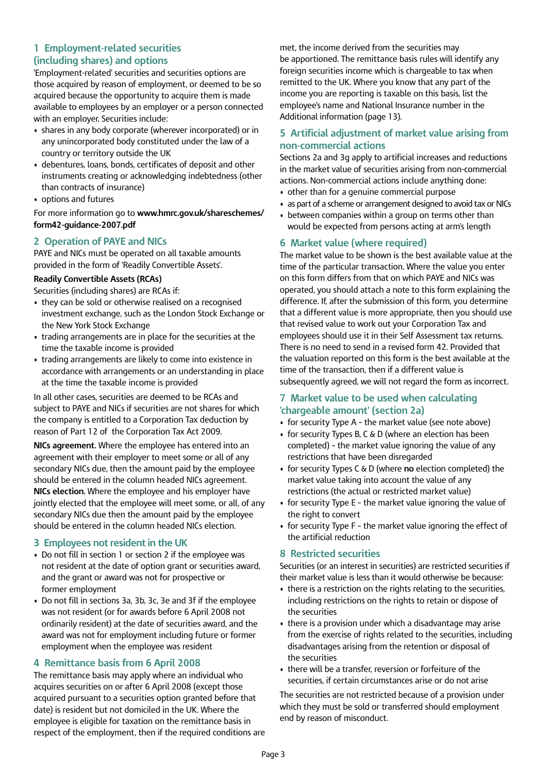# **1 Employment-related securities (including shares) and options**

'Employment-related' securities and securities options are those acquired by reason of employment, or deemed to be so acquired because the opportunity to acquire them is made available to employees by an employer or a person connected with an employer. Securities include:

- shares in any body corporate (wherever incorporated) or in any unincorporated body constituted under the law of a country or territory outside the UK
- debentures, loans, bonds, certificates of deposit and other instruments creating or acknowledging indebtedness (other than contracts of insurance)
- options and futures

For more information go to **[www.hmrc.gov.uk/shareschemes/](www.hmrc.gov.uk/shareschemes/form42-guidance-2007.pdf) [form42-guidance-2007.pdf](www.hmrc.gov.uk/shareschemes/form42-guidance-2007.pdf)**

# **2 Operation of PAYE and NICs**

PAYE and NICs must be operated on all taxable amounts provided in the form of 'Readily Convertible Assets'.

#### **Readily Convertible Assets (RCAs)**

Securities (including shares) are RCAs if:

- they can be sold or otherwise realised on a recognised investment exchange, such as the London Stock Exchange or the New York Stock Exchange
- trading arrangements are in place for the securities at the time the taxable income is provided
- trading arrangements are likely to come into existence in accordance with arrangements or an understanding in place at the time the taxable income is provided

In all other cases, securities are deemed to be RCAs and subject to PAYE and NICs if securities are not shares for which the company is entitled to a Corporation Tax deduction by reason of Part 12 of the Corporation Tax Act 2009.

**NICs agreement.** Where the employee has entered into an agreement with their employer to meet some or all of any secondary NICs due, then the amount paid by the employee should be entered in the column headed NICs agreement. **NICs election.** Where the employee and his employer have jointly elected that the employee will meet some, or all, of any secondary NICs due then the amount paid by the employee should be entered in the column headed NICs election.

### **3 Employees not resident in the UK**

- Do not fill in section 1 or section 2 if the employee was not resident at the date of option grant or securities award, and the grant or award was not for prospective or former employment
- Do not fill in sections 3a, 3b, 3c, 3e and 3f if the employee was not resident (or for awards before 6 April 2008 not ordinarily resident) at the date of securities award, and the award was not for employment including future or former employment when the employee was resident

### **4 Remittance basis from 6 April 2008**

The remittance basis may apply where an individual who acquires securities on or after 6 April 2008 (except those acquired pursuant to a securities option granted before that date) is resident but not domiciled in the UK. Where the employee is eligible for taxation on the remittance basis in respect of the employment, then if the required conditions are

met, the income derived from the securities may be apportioned. The remittance basis rules will identify any foreign securities income which is chargeable to tax when remitted to the UK. Where you know that any part of the income you are reporting is taxable on this basis, list the employee's name and National Insurance number in the Additional information (page 13).

### **5 Artificial adjustment of market value arising from non-commercial actions**

Sections 2a and 3g apply to artificial increases and reductions in the market value of securities arising from non-commercial actions. Non-commercial actions include anything done:

- other than for a genuine commercial purpose
- as part of a scheme or arrangement designed to avoid tax or NICs
- between companies within a group on terms other than would be expected from persons acting at arm's length

### **6 Market value (where required)**

The market value to be shown is the best available value at the time of the particular transaction. Where the value you enter on this form differs from that on which PAYE and NICs was operated, you should attach a note to this form explaining the difference. If, after the submission of this form, you determine that a different value is more appropriate, then you should use that revised value to work out your Corporation Tax and employees should use it in their Self Assessment tax returns. There is no need to send in a revised form 42. Provided that the valuation reported on this form is the best available at the time of the transaction, then if a different value is subsequently agreed, we will not regard the form as incorrect.

### **7 Market value to be used when calculating 'chargeable amount' (section 2a)**

- for security Type A the market value (see note above)
- for security Types B, C & D (where an election has been completed) – the market value ignoring the value of any restrictions that have been disregarded
- for security Types C & D (where **no** election completed) the market value taking into account the value of any restrictions (the actual or restricted market value)
- for security Type E the market value ignoring the value of the right to convert
- for security Type F the market value ignoring the effect of the artificial reduction

### **8 Restricted securities**

Securities (or an interest in securities) are restricted securities if their market value is less than it would otherwise be because:

- there is a restriction on the rights relating to the securities, including restrictions on the rights to retain or dispose of the securities
- there is a provision under which a disadvantage may arise from the exercise of rights related to the securities, including disadvantages arising from the retention or disposal of the securities
- there will be a transfer, reversion or forfeiture of the securities, if certain circumstances arise or do not arise

The securities are not restricted because of a provision under which they must be sold or transferred should employment end by reason of misconduct.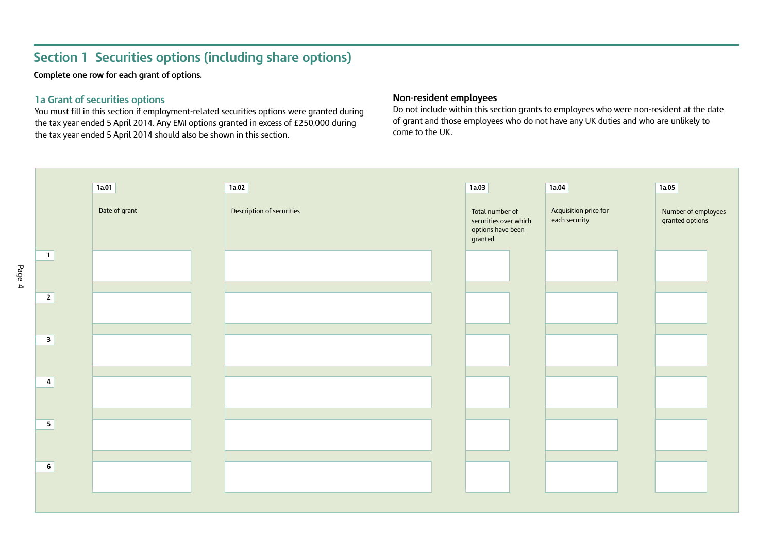# **Section 1 Securities options (including share options)**

**Complete one row for each grant of options.**

# **1a Grant of securities options**

You must fill in this section if employment-related securities options were granted during the tax year ended 5 April 2014. Any EMI options granted in excess of £250,000 during the tax year ended 5 April 2014 should also be shown in this section.

### **Non-resident employees**

Do not include within this section grants to employees who were non-resident at the date of grant and those employees who do not have any UK duties and who are unlikely to come to the UK.

| 1a.01         | 1a.02                     | 1a.03                                                                    | 1a.04                                  | 1a.05                                  |
|---------------|---------------------------|--------------------------------------------------------------------------|----------------------------------------|----------------------------------------|
| Date of grant | Description of securities | Total number of<br>securities over which<br>options have been<br>granted | Acquisition price for<br>each security | Number of employees<br>granted options |
|               |                           |                                                                          |                                        |                                        |
|               |                           |                                                                          |                                        |                                        |
|               |                           |                                                                          |                                        |                                        |
|               |                           |                                                                          |                                        |                                        |
|               |                           |                                                                          |                                        |                                        |
|               |                           |                                                                          |                                        |                                        |
|               |                           |                                                                          |                                        |                                        |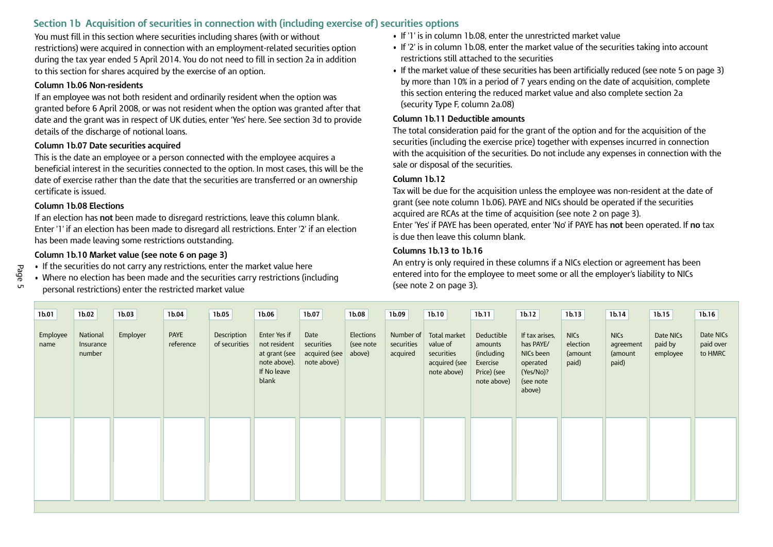# **Section 1b Acquisition of securities in connection with (including exercise of) securities options**

You must fill in this section where securities including shares (with or without restrictions) were acquired in connection with an employment-related securities option during the tax year ended 5 April 2014. You do not need to fill in section 2a in addition to this section for shares acquired by the exercise of an option.

#### **Column 1b.06 Non-residents**

If an employee was not both resident and ordinarily resident when the option was granted before 6 April 2008, or was not resident when the option was granted after that date and the grant was in respect of UK duties, enter 'Yes' here. See section 3d to provide details of the discharge of notional loans.

#### **Column 1b.07 Date securities acquired**

This is the date an employee or a person connected with the employee acquires a beneficial interest in the securities connected to the option. In most cases, this will be the date of exercise rather than the date that the securities are transferred or an ownership certificate is issued.

#### **Column 1b.08 Elections**

If an election has **not** been made to disregard restrictions, leave this column blank. Enter '1' if an election has been made to disregard all restrictions. Enter '2' if an election has been made leaving some restrictions outstanding.

# **Column 1b.10 Market value (see note 6 on page 3)**

- If the securities do not carry any restrictions, enter the market value here
- Where no election has been made and the securities carry restrictions (including personal restrictions) enter the restricted market value
- If '1' is in column 1b.08, enter the unrestricted market value
- If '2' is in column 1b.08, enter the market value of the securities taking into account restrictions still attached to the securities
- If the market value of these securities has been artificially reduced (see note 5 on page 3) by more than 10% in a period of 7 years ending on the date of acquisition, complete this section entering the reduced market value and also complete section 2a (security Type F, column 2a.08)

#### **Column 1b.11 Deductible amounts**

The total consideration paid for the grant of the option and for the acquisition of the securities (including the exercise price) together with expenses incurred in connection with the acquisition of the securities. Do not include any expenses in connection with the sale or disposal of the securities.

#### **Column 1b.12**

Tax will be due for the acquisition unless the employee was non-resident at the date of grant (see note column 1b.06). PAYE and NICs should be operated if the securities acquired are RCAs at the time of acquisition (see note 2 on page 3). Enter 'Yes' if PAYE has been operated, enter 'No' if PAYE has **not** been operated. If **no** tax is due then leave this column blank.

### **Columns 1b.13 to 1b.16**

An entry is only required in these columns if a NICs election or agreement has been entered into for the employee to meet some or all the employer's liability to NICs (see note 2 on page 3).

| 1b.01            | 1b.02                           | 1 <sub>b.03</sub> | 1b.04                    | 1 <sub>b.05</sub>            | 1b.06                                                                                 | 1b.07                                              | 1b.08                            | 1b.09                  | 1b.10                                                                            | 1b.11                                                                         | 1b.12                                                                                    | 1 <sub>b.13</sub>                           | 1 <sub>b.14</sub>                            | 1b.15                            | 1b.16                             |
|------------------|---------------------------------|-------------------|--------------------------|------------------------------|---------------------------------------------------------------------------------------|----------------------------------------------------|----------------------------------|------------------------|----------------------------------------------------------------------------------|-------------------------------------------------------------------------------|------------------------------------------------------------------------------------------|---------------------------------------------|----------------------------------------------|----------------------------------|-----------------------------------|
| Employee<br>name | National<br>Insurance<br>number | Employer          | <b>PAYE</b><br>reference | Description<br>of securities | Enter Yes if<br>not resident<br>at grant (see<br>note above).<br>If No leave<br>blank | Date<br>securities<br>acquired (see<br>note above) | Elections<br>(see note<br>above) | securities<br>acquired | Number of Total market<br>value of<br>securities<br>acquired (see<br>note above) | Deductible<br>amounts<br>(including<br>Exercise<br>Price) (see<br>note above) | If tax arises,<br>has PAYE/<br>NICs been<br>operated<br>(Yes/No)?<br>(see note<br>above) | <b>NICs</b><br>election<br>(amount<br>paid) | <b>NICs</b><br>agreement<br>(amount<br>paid) | Date NICs<br>paid by<br>employee | Date NICs<br>paid over<br>to HMRC |
|                  |                                 |                   |                          |                              |                                                                                       |                                                    |                                  |                        |                                                                                  |                                                                               |                                                                                          |                                             |                                              |                                  |                                   |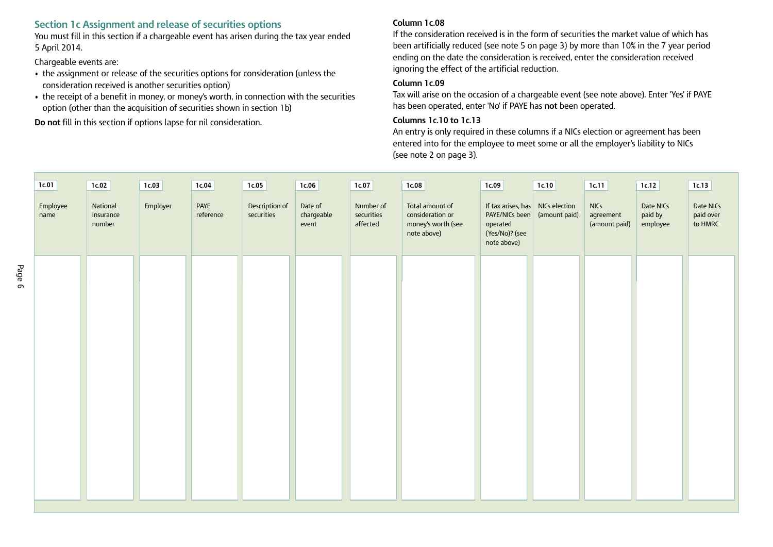### **Section 1c Assignment and release of securities options**

You must fill in this section if a chargeable event has arisen during the tax year ended 5 April 2014.

Chargeable events are:

- the assignment or release of the securities options for consideration (unless the consideration received is another securities option)
- the receipt of a benefit in money, or money's worth, in connection with the securities option (other than the acquisition of securities shown in section 1b)

**Do not** fill in this section if options lapse for nil consideration.

#### **Column 1c.08**

If the consideration received is in the form of securities the market value of which has been artificially reduced (see note 5 on page 3) by more than 10% in the 7 year period ending on the date the consideration is received, enter the consideration received ignoring the effect of the artificial reduction.

#### **Column 1c.09**

Tax will arise on the occasion of a chargeable event (see note above). Enter 'Yes' if PAYE has been operated, enter 'No' if PAYE has **not** been operated.

#### **Columns 1c.10 to 1c.13**

An entry is only required in these columns if a NICs election or agreement has been entered into for the employee to meet some or all the employer's liability to NICs (see note 2 on page 3).

| 1c.01            | 1c.02                           | 1c.03    | 1c.04             | 1c.05                        | 1c.06                          | 1c.07                               | 1c.08                                                                    | 1c.09                                                                                                                 | 1c.10 | 1c.11                                     | 1c.12                            | 1c.13                             |
|------------------|---------------------------------|----------|-------------------|------------------------------|--------------------------------|-------------------------------------|--------------------------------------------------------------------------|-----------------------------------------------------------------------------------------------------------------------|-------|-------------------------------------------|----------------------------------|-----------------------------------|
| Employee<br>name | National<br>Insurance<br>number | Employer | PAYE<br>reference | Description of<br>securities | Date of<br>chargeable<br>event | Number of<br>securities<br>affected | Total amount of<br>consideration or<br>money's worth (see<br>note above) | If tax arises, has $\vert$ NICs election<br>PAYE/NICs been (amount paid)<br>operated<br>(Yes/No)? (see<br>note above) |       | <b>NICs</b><br>agreement<br>(amount paid) | Date NICs<br>paid by<br>employee | Date NICs<br>paid over<br>to HMRC |
|                  |                                 |          |                   |                              |                                |                                     |                                                                          |                                                                                                                       |       |                                           |                                  |                                   |
|                  |                                 |          |                   |                              |                                |                                     |                                                                          |                                                                                                                       |       |                                           |                                  |                                   |
|                  |                                 |          |                   |                              |                                |                                     |                                                                          |                                                                                                                       |       |                                           |                                  |                                   |
|                  |                                 |          |                   |                              |                                |                                     |                                                                          |                                                                                                                       |       |                                           |                                  |                                   |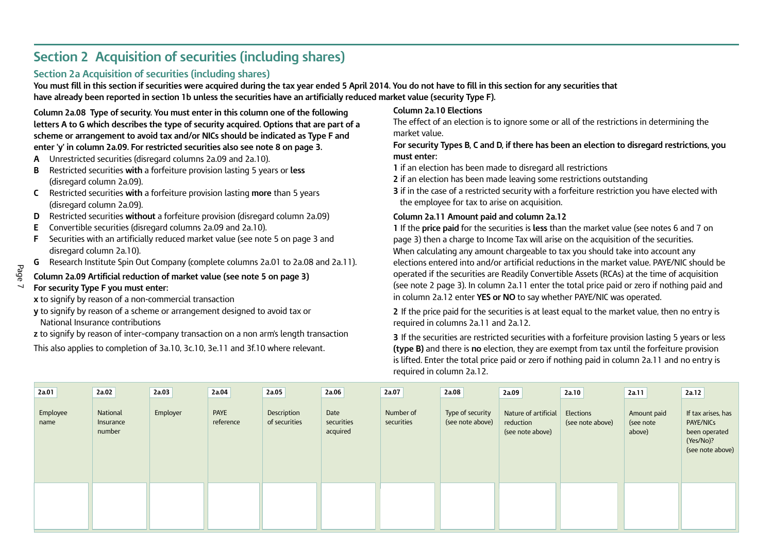# **Section 2 Acquisition of securities (including shares)**

# **Section 2a Acquisition of securities (including shares)**

You must fill in this section if securities were acquired during the tax year ended 5 April 2014. You do not have to fill in this section for any securities that have already been reported in section 1b unless the securities have an artificially reduced market value (security Type F).

**Column 2a.08 Type of security. You must enter in this column one of the following letters A to G which describes the type of security acquired. Options that are part of a scheme or arrangement to avoid tax and/or NICs should be indicated as Type F and enter 'y' in column 2a.09. For restricted securities also see note 8 on page 3.**

- **A** Unrestricted securities (disregard columns 2a.09 and 2a.10).
- **B** Restricted securities **with** a forfeiture provision lasting 5 years or **less** (disregard column 2a.09).
- **C** Restricted securities **with** a forfeiture provision lasting **more** than 5 years (disregard column 2a.09).
- **D** Restricted securities **without** a forfeiture provision (disregard column 2a.09)
- **E** Convertible securities (disregard columns 2a.09 and 2a.10).
- **F** Securities with an artificially reduced market value (see note 5 on page 3 and disregard column 2a.10).
- **G** Research Institute Spin Out Company (complete columns 2a.01 to 2a.08 and 2a.11).

#### **Column 2a.09 Artificial reduction of market value (see note 5 on page 3)**

#### **For security Type F you must enter:**

- **x** to signify by reason of a non-commercial transaction
- **y** to signify by reason of a scheme or arrangement designed to avoid tax or National Insurance contributions
- **z** to signify by reason of inter–company transaction on a non arm's length transaction

This also applies to completion of 3a.10, 3c.10, 3e.11 and 3f.10 where relevant.

# **Column 2a.10 Elections**

The effect of an election is to ignore some or all of the restrictions in determining the market value.

**For security Types B, C and D, if there has been an election to disregard restrictions, you must enter:**

- **1** if an election has been made to disregard all restrictions
- **2** if an election has been made leaving some restrictions outstanding

**3** if in the case of a restricted security with a forfeiture restriction you have elected with the employee for tax to arise on acquisition.

#### **Column 2a.11 Amount paid and column 2a.12**

**1** If the **price paid** for the securities is **less** than the market value (see notes 6 and 7 on page 3) then a charge to Income Tax will arise on the acquisition of the securities. When calculating any amount chargeable to tax you should take into account any elections entered into and/or artificial reductions in the market value. PAYE/NIC should be operated if the securities are Readily Convertible Assets (RCAs) at the time of acquisition (see note 2 page 3). In column 2a.11 enter the total price paid or zero if nothing paid and in column 2a.12 enter **YES or NO** to say whether PAYE/NIC was operated.

**2** If the price paid for the securities is at least equal to the market value, then no entry is required in columns 2a.11 and 2a.12.

**3** If the securities are restricted securities with a forfeiture provision lasting 5 years or less **(type B)** and there is **no** election, they are exempt from tax until the forfeiture provision is lifted. Enter the total price paid or zero if nothing paid in column 2a.11 and no entry is required in column 2a.12.

| 2a.01            | 2a.02                           | 2a.03    | 2a.04             | 2a.05                        | 2a.06                          | 2a.07                   | 2a.08                                | 2a.09                                                 | 2a.10                                | 2a.11                              | 2a.12                                                                                    |
|------------------|---------------------------------|----------|-------------------|------------------------------|--------------------------------|-------------------------|--------------------------------------|-------------------------------------------------------|--------------------------------------|------------------------------------|------------------------------------------------------------------------------------------|
| Employee<br>name | National<br>Insurance<br>number | Employer | PAYE<br>reference | Description<br>of securities | Date<br>securities<br>acquired | Number of<br>securities | Type of security<br>(see note above) | Nature of artificial<br>reduction<br>(see note above) | <b>Elections</b><br>(see note above) | Amount paid<br>(see note<br>above) | If tax arises, has<br><b>PAYE/NICs</b><br>been operated<br>(Yes/No)?<br>(see note above) |
|                  |                                 |          |                   |                              |                                |                         |                                      |                                                       |                                      |                                    |                                                                                          |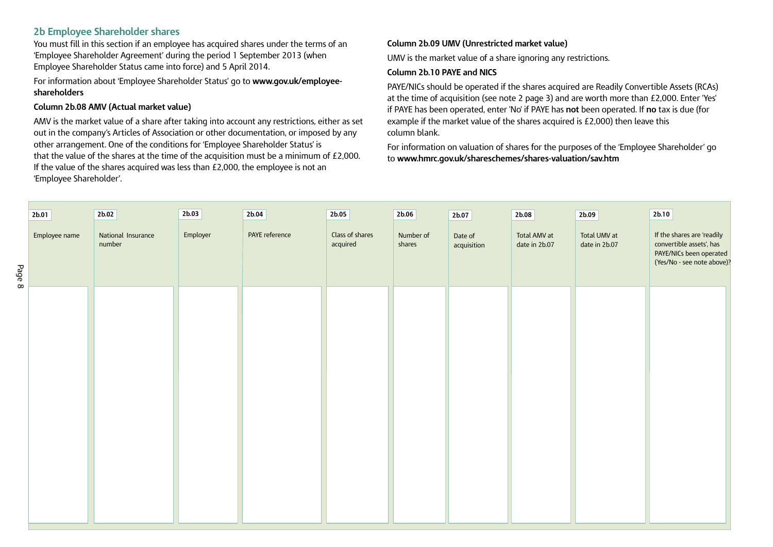## **2b Employee Shareholder shares**

You must fill in this section if an employee has acquired shares under the terms of an 'Employee Shareholder Agreement' during the period 1 September 2013 (when Employee Shareholder Status came into force) and 5 April 2014.

For information about 'Employee Shareholder Status' go to **[www.gov.uk/employee](www.gov.uk/employee-shareholders)[shareholders](www.gov.uk/employee-shareholders)**

#### **Column 2b.08 AMV (Actual market value)**

AMV is the market value of a share after taking into account any restrictions, either as set out in the company's Articles of Association or other documentation, or imposed by any other arrangement. One of the conditions for 'Employee Shareholder Status' is that the value of the shares at the time of the acquisition must be a minimum of £2,000. If the value of the shares acquired was less than £2,000, the employee is not an 'Employee Shareholder'.

#### **Column 2b.09 UMV (Unrestricted market value)**

UMV is the market value of a share ignoring any restrictions.

#### **Column 2b.10 PAYE and NICS**

PAYE/NICs should be operated if the shares acquired are Readily Convertible Assets (RCAs) at the time of acquisition (see note 2 page 3) and are worth more than £2,000. Enter 'Yes' if PAYE has been operated, enter 'No' if PAYE has **not** been operated. If **no** tax is due (for example if the market value of the shares acquired is £2,000) then leave this column blank.

For information on valuation of shares for the purposes of the 'Employee Shareholder' go to **<www.hmrc.gov.uk/shareschemes/shares-valuation/sav.htm>**

|        | 2b.01         | 2b.02                        | 2b.03    | 2b.04          | 2b.05                       | 2b.06               | 2b.07                  | 2b.08                         | 2b.09                         | 2b.10                                                                                                           |
|--------|---------------|------------------------------|----------|----------------|-----------------------------|---------------------|------------------------|-------------------------------|-------------------------------|-----------------------------------------------------------------------------------------------------------------|
| Page 8 | Employee name | National Insurance<br>number | Employer | PAYE reference | Class of shares<br>acquired | Number of<br>shares | Date of<br>acquisition | Total AMV at<br>date in 2b.07 | Total UMV at<br>date in 2b.07 | If the shares are 'readily<br>convertible assets', has<br>PAYE/NICs been operated<br>(Yes/No - see note above)? |
|        |               |                              |          |                |                             |                     |                        |                               |                               |                                                                                                                 |
|        |               |                              |          |                |                             |                     |                        |                               |                               |                                                                                                                 |
|        |               |                              |          |                |                             |                     |                        |                               |                               |                                                                                                                 |
|        |               |                              |          |                |                             |                     |                        |                               |                               |                                                                                                                 |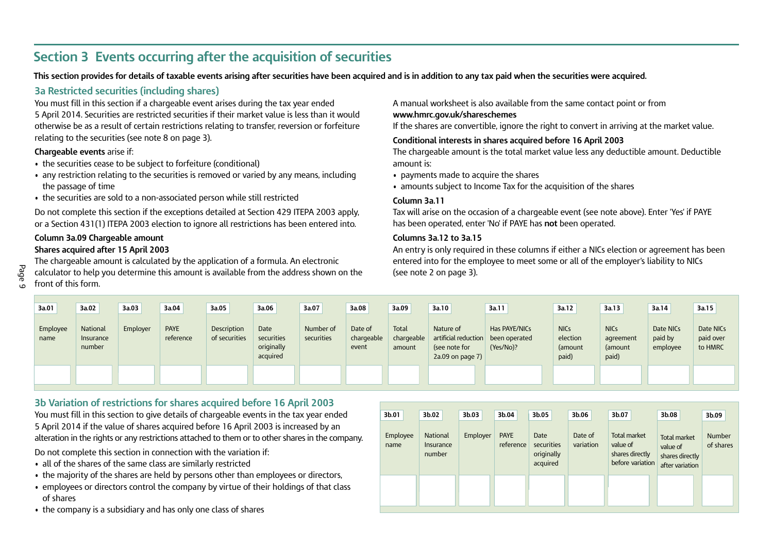# **Section 3 Events occurring after the acquisition of securities**

This section provides for details of taxable events arising after securities have been acquired and is in addition to any tax paid when the securities were acquired.

# **3a Restricted securities (including shares)**

You must fill in this section if a chargeable event arises during the tax year ended 5 April 2014. Securities are restricted securities if their market value is less than it would otherwise be as a result of certain restrictions relating to transfer, reversion or forfeiture relating to the securities (see note 8 on page 3).

#### **Chargeable events** arise if:

- the securities cease to be subject to forfeiture (conditional)
- any restriction relating to the securities is removed or varied by any means, including the passage of time
- the securities are sold to a non-associated person while still restricted

Do not complete this section if the exceptions detailed at Section 429 ITEPA 2003 apply, or a Section 431(1) ITEPA 2003 election to ignore all restrictions has been entered into.

#### **Column 3a.09 Chargeable amount Shares acquired after 15 April 2003**

The chargeable amount is calculated by the application of a formula. An electronic calculator to help you determine this amount is available from the address shown on the front of this form.

A manual worksheet is also available from the same contact point or from

#### **<www.hmrc.gov.uk/shareschemes>**

If the shares are convertible, ignore the right to convert in arriving at the market value.

#### **Conditional interests in shares acquired before 16 April 2003**

The chargeable amount is the total market value less any deductible amount. Deductible amount is:

- payments made to acquire the shares
- amounts subject to Income Tax for the acquisition of the shares

#### **Column 3a.11**

Tax will arise on the occasion of a chargeable event (see note above). Enter 'Yes' if PAYE has been operated, enter 'No' if PAYE has **not** been operated.

#### **Columns 3a.12 to 3a.15**

An entry is only required in these columns if either a NICs election or agreement has been entered into for the employee to meet some or all of the employer's liability to NICs (see note 2 on page 3).

| 3a.01            | 3a.02                           | 3a.03    | 3a.04                    | 3a.05                               | 3a.06                                        | 3a.07                   | 3a.08                          | 3a.09                         | 3a.10                                                                   | 3a.11                                       | 3a.12                                       | 3a.13                                        | 3a.14                            | 3a.15                             |
|------------------|---------------------------------|----------|--------------------------|-------------------------------------|----------------------------------------------|-------------------------|--------------------------------|-------------------------------|-------------------------------------------------------------------------|---------------------------------------------|---------------------------------------------|----------------------------------------------|----------------------------------|-----------------------------------|
| Employee<br>name | National<br>Insurance<br>number | Employer | <b>PAYE</b><br>reference | <b>Description</b><br>of securities | Date<br>securities<br>originally<br>acquired | Number of<br>securities | Date of<br>chargeable<br>event | Total<br>chargeable<br>amount | Nature of<br>artificial reduction<br>(see note for<br>2a.09 on page $7$ | Has PAYE/NICs<br>been operated<br>(Yes/No)? | <b>NICs</b><br>election<br>(amount<br>paid) | <b>NICs</b><br>agreement<br>(amount<br>paid) | Date NICs<br>paid by<br>employee | Date NICs<br>paid over<br>to HMRC |
|                  |                                 |          |                          |                                     |                                              |                         |                                |                               |                                                                         |                                             |                                             |                                              |                                  |                                   |

# **3b Variation of restrictions for shares acquired before 16 April 2003**

You must fill in this section to give details of chargeable events in the tax year ended 5 April 2014 if the value of shares acquired before 16 April 2003 is increased by an alteration in the rights or any restrictions attached to them or to other shares in the company.

Do not complete this section in connection with the variation if:

- all of the shares of the same class are similarly restricted
- the majority of the shares are held by persons other than employees or directors,
- employees or directors control the company by virtue of their holdings of that class of shares
- the company is a subsidiary and has only one class of shares

| 3b.01            | 3b.02                                  | 3b.03    | 3b.04                    | 3b.05                                        | 3b.06                | 3b.07                                                           | 3b.08                                                                 | 3b.09                      |
|------------------|----------------------------------------|----------|--------------------------|----------------------------------------------|----------------------|-----------------------------------------------------------------|-----------------------------------------------------------------------|----------------------------|
| Employee<br>name | <b>National</b><br>Insurance<br>number | Employer | <b>PAYE</b><br>reference | Date<br>securities<br>originally<br>acquired | Date of<br>variation | Total market<br>value of<br>shares directly<br>before variation | <b>Total market</b><br>value of<br>shares directly<br>after variation | <b>Number</b><br>of shares |
|                  |                                        |          |                          |                                              |                      |                                                                 |                                                                       |                            |

### Page  $\frac{1}{10}$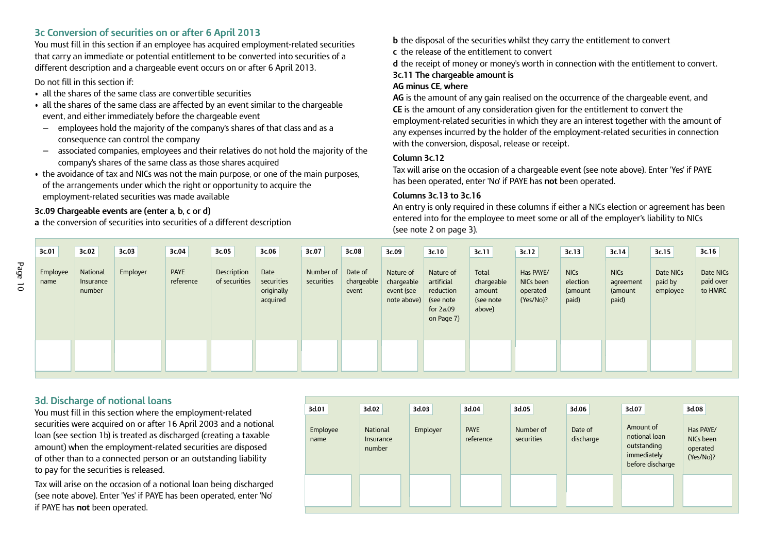### **3c Conversion of securities on or after 6 April 2013**

You must fill in this section if an employee has acquired employment-related securities that carry an immediate or potential entitlement to be converted into securities of a different description and a chargeable event occurs on or after 6 April 2013.

Do not fill in this section if:

- all the shares of the same class are convertible securities
- all the shares of the same class are affected by an event similar to the chargeable event, and either immediately before the chargeable event
- employees hold the majority of the company's shares of that class and as a consequence can control the company
- associated companies, employees and their relatives do not hold the majority of the company's shares of the same class as those shares acquired
- the avoidance of tax and NICs was not the main purpose, or one of the main purposes, of the arrangements under which the right or opportunity to acquire the employment-related securities was made available

### **3c.09 Chargeable events are (enter a, b, c or d)**

**a** the conversion of securities into securities of a different description

**b** the disposal of the securities whilst they carry the entitlement to convert

**c** the release of the entitlement to convert

**d** the receipt of money or money's worth in connection with the entitlement to convert.

### **3c.11 The chargeable amount is**

#### **AG minus CE, where**

**AG** is the amount of any gain realised on the occurrence of the chargeable event, and **CE** is the amount of any consideration given for the entitlement to convert the employment-related securities in which they are an interest together with the amount of any expenses incurred by the holder of the employment-related securities in connection with the conversion, disposal, release or receipt.

#### **Column 3c.12**

Tax will arise on the occasion of a chargeable event (see note above). Enter 'Yes' if PAYE has been operated, enter 'No' if PAYE has **not** been operated.

#### **Columns 3c.13 to 3c.16**

An entry is only required in these columns if either a NICs election or agreement has been entered into for the employee to meet some or all of the employer's liability to NICs (see note 2 on page 3).

| 3c.01            | 3c.02                           | 3c.03    | 3c.04                    | 3c.05                        | 3c.06                                        | 3c.07                   | 3c.08                          | 3c.09                                                | 3c.10                                                                          | 3c.11                                                | 3c.12                                           | 3c.13                                       | 3c.14                                        | 3c.15                            | 3c.16                             |
|------------------|---------------------------------|----------|--------------------------|------------------------------|----------------------------------------------|-------------------------|--------------------------------|------------------------------------------------------|--------------------------------------------------------------------------------|------------------------------------------------------|-------------------------------------------------|---------------------------------------------|----------------------------------------------|----------------------------------|-----------------------------------|
| Employee<br>name | National<br>Insurance<br>number | Employer | <b>PAYE</b><br>reference | Description<br>of securities | Date<br>securities<br>originally<br>acquired | Number of<br>securities | Date of<br>chargeable<br>event | Nature of<br>chargeable<br>event (see<br>note above) | Nature of<br>artificial<br>reduction<br>(see note<br>for $2a.09$<br>on Page 7) | Total<br>chargeable<br>amount<br>(see note<br>above) | Has PAYE/<br>NICs been<br>operated<br>(Yes/No)? | <b>NICs</b><br>election<br>(amount<br>paid) | <b>NICs</b><br>agreement<br>(amount<br>paid) | Date NICs<br>paid by<br>employee | Date NICs<br>paid over<br>to HMRC |
|                  |                                 |          |                          |                              |                                              |                         |                                |                                                      |                                                                                |                                                      |                                                 |                                             |                                              |                                  |                                   |

# **3d. Discharge of notional loans**

You must fill in this section where the employment-related securities were acquired on or after 16 April 2003 and a notional loan (see section 1b) is treated as discharged (creating a taxable amount) when the employment-related securities are disposed of other than to a connected person or an outstanding liability to pay for the securities is released.

Tax will arise on the occasion of a notional loan being discharged (see note above). Enter 'Yes' if PAYE has been operated, enter 'No' if PAYE has **not** been operated.

| 3d.01            | 3d.02                                  | 3d.03    | 3d.04                    | 3d.05                   | 3d.06                | 3d.07                                                                        | 3d.08                                           |
|------------------|----------------------------------------|----------|--------------------------|-------------------------|----------------------|------------------------------------------------------------------------------|-------------------------------------------------|
| Employee<br>name | <b>National</b><br>Insurance<br>number | Employer | <b>PAYE</b><br>reference | Number of<br>securities | Date of<br>discharge | Amount of<br>notional loan<br>outstanding<br>immediately<br>before discharge | Has PAYE/<br>NICs been<br>operated<br>(Yes/No)? |
|                  |                                        |          |                          |                         |                      |                                                                              |                                                 |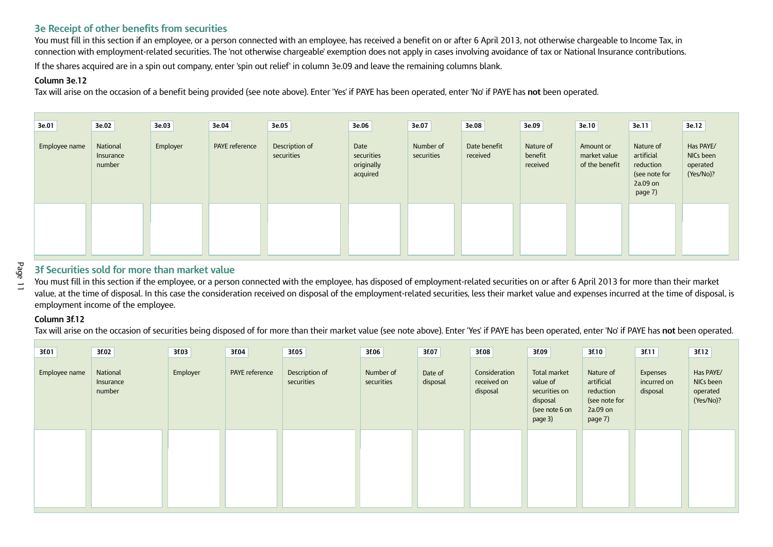# **3e Receipt of other benefits from securities**

You must fill in this section if an employee, or a person connected with an employee, has received a benefit on or after 6 April 2013, not otherwise chargeable to Income Tax, in connection with employment-related securities. The 'not otherwise chargeable' exemption does not apply in cases involving avoidance of tax or National Insurance contributions.

If the shares acquired are in a spin out company, enter 'spin out relief' in column 3e.09 and leave the remaining columns blank.

#### **Column 3e.12**

Tax will arise on the occasion of a benefit being provided (see note above). Enter 'Yes' if PAYE has been operated, enter 'No' if PAYE has **not** been operated.

| 3e.01         | 3e.02                           | 3e.03    | 3e.04          | 3e.05                        | 3e.06                                        | 3e.07                   | 3e.08                    | 3e.09                            | 3e.10                                       | 3e.11                                                                          | 3e.12                                           |
|---------------|---------------------------------|----------|----------------|------------------------------|----------------------------------------------|-------------------------|--------------------------|----------------------------------|---------------------------------------------|--------------------------------------------------------------------------------|-------------------------------------------------|
| Employee name | National<br>Insurance<br>number | Employer | PAYE reference | Description of<br>securities | Date<br>securities<br>originally<br>acquired | Number of<br>securities | Date benefit<br>received | Nature of<br>benefit<br>received | Amount or<br>market value<br>of the benefit | Nature of<br>artificial<br>reduction<br>(see note for<br>$2a.09$ on<br>page 7) | Has PAYE/<br>NICs been<br>operated<br>(Yes/No)? |
|               |                                 |          |                |                              |                                              |                         |                          |                                  |                                             |                                                                                |                                                 |

 $\equiv$ 

# **3f Securities sold for more than market value**

You must fill in this section if the employee, or a person connected with the employee, has disposed of employment-related securities on or after 6 April 2013 for more than their market value, at the time of disposal. In this case the consideration received on disposal of the employment-related securities, less their market value and expenses incurred at the time of disposal, is employment income of the employee.

#### **Column 3f.12**

Tax will arise on the occasion of securities being disposed of for more than their market value (see note above). Enter 'Yes' if PAYE has been operated, enter 'No' if PAYE has **not** been operated.

| 3f.01         | 3f.02                           | 3f.03    | 3f.04          | 3f.05                        | 3f.06                   | 3f.07               | 3f.08                                    | 3f.09                                                                              | 3f.10                                                                        | 3f.11                               | 3f.12                                           |
|---------------|---------------------------------|----------|----------------|------------------------------|-------------------------|---------------------|------------------------------------------|------------------------------------------------------------------------------------|------------------------------------------------------------------------------|-------------------------------------|-------------------------------------------------|
| Employee name | National<br>Insurance<br>number | Employer | PAYE reference | Description of<br>securities | Number of<br>securities | Date of<br>disposal | Consideration<br>received on<br>disposal | Total market<br>value of<br>securities on<br>disposal<br>(see note 6 on<br>page 3) | Nature of<br>artificial<br>reduction<br>(see note for<br>2a.09 on<br>page 7) | Expenses<br>incurred on<br>disposal | Has PAYE/<br>NICs been<br>operated<br>(Yes/No)? |
|               |                                 |          |                |                              |                         |                     |                                          |                                                                                    |                                                                              |                                     |                                                 |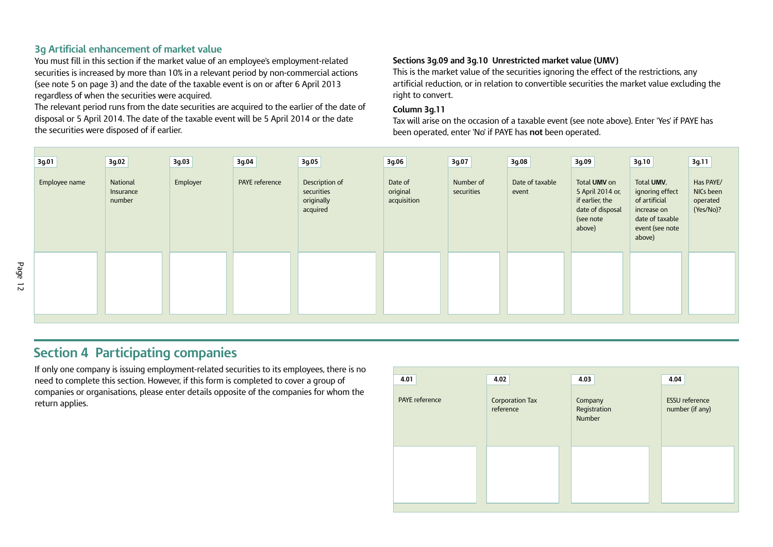# **3g Artificial enhancement of market value**

You must fill in this section if the market value of an employee's employment-related securities is increased by more than 10% in a relevant period by non-commercial actions (see note 5 on page 3) and the date of the taxable event is on or after 6 April 2013 regardless of when the securities were acquired.

The relevant period runs from the date securities are acquired to the earlier of the date of disposal or 5 April 2014. The date of the taxable event will be 5 April 2014 or the date the securities were disposed of if earlier.

#### **Sections 3g.09 and 3g.10 Unrestricted market value (UMV)**

This is the market value of the securities ignoring the effect of the restrictions, any artificial reduction, or in relation to convertible securities the market value excluding the right to convert.

#### **Column 3g.11**

Tax will arise on the occasion of a taxable event (see note above). Enter 'Yes' if PAYE has been operated, enter 'No' if PAYE has **not** been operated.

| 3g.01         | 3g.02                           | 3g.03    | 3g.04          | 3g.05                                                  | 3g.06                              | 3g.07                   | 3g.08                    | 3g.09                                                                                          | 3g.10                                                                                                         | 3g.11                                           |
|---------------|---------------------------------|----------|----------------|--------------------------------------------------------|------------------------------------|-------------------------|--------------------------|------------------------------------------------------------------------------------------------|---------------------------------------------------------------------------------------------------------------|-------------------------------------------------|
| Employee name | National<br>Insurance<br>number | Employer | PAYE reference | Description of<br>securities<br>originally<br>acquired | Date of<br>original<br>acquisition | Number of<br>securities | Date of taxable<br>event | Total UMV on<br>5 April 2014 or,<br>if earlier, the<br>date of disposal<br>(see note<br>above) | Total UMV,<br>ignoring effect<br>of artificial<br>increase on<br>date of taxable<br>event (see note<br>above) | Has PAYE/<br>NICs been<br>operated<br>(Yes/No)? |
|               |                                 |          |                |                                                        |                                    |                         |                          |                                                                                                |                                                                                                               |                                                 |

# **Section 4 Participating companies**

If only one company is issuing employment-related securities to its employees, there is no need to complete this section. However, if this form is completed to cover a group of companies or organisations, please enter details opposite of the companies for whom the **return applies.** Corporation Tax

| 4.01                  | 4.02                         | 4.03                              | 4.04                                     |
|-----------------------|------------------------------|-----------------------------------|------------------------------------------|
| <b>PAYE</b> reference | Corporation Tax<br>reference | Company<br>Registration<br>Number | <b>ESSU</b> reference<br>number (if any) |
|                       |                              |                                   |                                          |